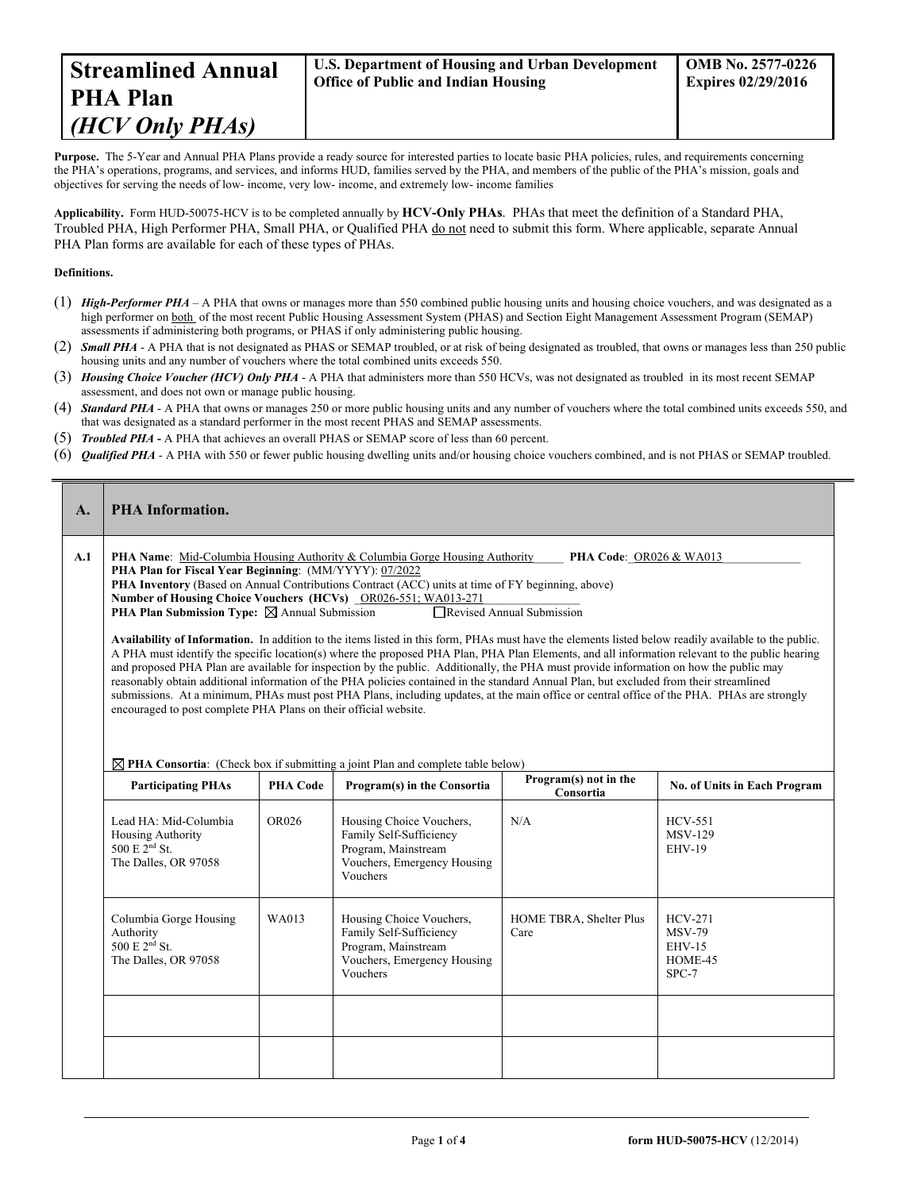Purpose. The 5-Year and Annual PHA Plans provide a ready source for interested parties to locate basic PHA policies, rules, and requirements concerning the PHA's operations, programs, and services, and informs HUD, families served by the PHA, and members of the public of the PHA's mission, goals and objectives for serving the needs of low- income, very low- income, and extremely low- income families

**Applicability.** Form HUD-50075-HCV is to be completed annually by **HCV-Only PHAs**. PHAs that meet the definition of a Standard PHA, Troubled PHA, High Performer PHA, Small PHA, or Qualified PHA do not need to submit this form. Where applicable, separate Annual PHA Plan forms are available for each of these types of PHAs.

#### **Definitions.**

- (1) *High-Performer PHA* A PHA that owns or manages more than 550 combined public housing units and housing choice vouchers, and was designated as a high performer on both of the most recent Public Housing Assessment System (PHAS) and Section Eight Management Assessment Program (SEMAP) assessments if administering both programs, or PHAS if only administering public housing.
- (2) **Small PHA** A PHA that is not designated as PHAS or SEMAP troubled, or at risk of being designated as troubled, that owns or manages less than 250 public housing units and any number of vouchers where the total combined units exceeds 550.
- (3) *Housing Choice Voucher (HCV) Only PHA* A PHA that administers more than 550 HCVs, was not designated as troubled in its most recent SEMAP assessment, and does not own or manage public housing.
- (4) *Standard PHA* A PHA that owns or manages 250 or more public housing units and any number of vouchers where the total combined units exceeds 550, and that was designated as a standard performer in the most recent PHAS and SEMAP assessments.
- (5) *Troubled PHA* **-** A PHA that achieves an overall PHAS or SEMAP score of less than 60 percent.
- (6) *Qualified PHA* A PHA with 550 or fewer public housing dwelling units and/or housing choice vouchers combined, and is not PHAS or SEMAP troubled.

| $\mathbf{A}$ .                                                                                                                                                                                                                                                                                                                                                                                                                                                                                                                                                                                                                                                                                                                                                                                                                                                                                               | <b>PHA Information.</b>                                                                                                                                                                                                                                                                                                                                                                                                                              |                 |                                                                                                                       |                                    |                                                                   |  |  |
|--------------------------------------------------------------------------------------------------------------------------------------------------------------------------------------------------------------------------------------------------------------------------------------------------------------------------------------------------------------------------------------------------------------------------------------------------------------------------------------------------------------------------------------------------------------------------------------------------------------------------------------------------------------------------------------------------------------------------------------------------------------------------------------------------------------------------------------------------------------------------------------------------------------|------------------------------------------------------------------------------------------------------------------------------------------------------------------------------------------------------------------------------------------------------------------------------------------------------------------------------------------------------------------------------------------------------------------------------------------------------|-----------------|-----------------------------------------------------------------------------------------------------------------------|------------------------------------|-------------------------------------------------------------------|--|--|
| A.1                                                                                                                                                                                                                                                                                                                                                                                                                                                                                                                                                                                                                                                                                                                                                                                                                                                                                                          | <b>PHA Name:</b> Mid-Columbia Housing Authority & Columbia Gorge Housing Authority<br>PHA Code: OR026 & WA013<br>PHA Plan for Fiscal Year Beginning: (MM/YYYY): 07/2022<br><b>PHA Inventory</b> (Based on Annual Contributions Contract (ACC) units at time of FY beginning, above)<br>Number of Housing Choice Vouchers (HCVs) _OR026-551; WA013-271<br>Revised Annual Submission<br><b>PHA Plan Submission Type:</b> $\boxtimes$ Annual Submission |                 |                                                                                                                       |                                    |                                                                   |  |  |
| Availability of Information. In addition to the items listed in this form, PHAs must have the elements listed below readily available to the public.<br>A PHA must identify the specific location(s) where the proposed PHA Plan, PHA Plan Elements, and all information relevant to the public hearing<br>and proposed PHA Plan are available for inspection by the public. Additionally, the PHA must provide information on how the public may<br>reasonably obtain additional information of the PHA policies contained in the standard Annual Plan, but excluded from their streamlined<br>submissions. At a minimum, PHAs must post PHA Plans, including updates, at the main office or central office of the PHA. PHAs are strongly<br>encouraged to post complete PHA Plans on their official website.<br>$\boxtimes$ PHA Consortia: (Check box if submitting a joint Plan and complete table below) |                                                                                                                                                                                                                                                                                                                                                                                                                                                      |                 |                                                                                                                       |                                    |                                                                   |  |  |
|                                                                                                                                                                                                                                                                                                                                                                                                                                                                                                                                                                                                                                                                                                                                                                                                                                                                                                              | <b>Participating PHAs</b>                                                                                                                                                                                                                                                                                                                                                                                                                            | <b>PHA Code</b> | Program(s) in the Consortia                                                                                           | Program(s) not in the<br>Consortia | No. of Units in Each Program                                      |  |  |
|                                                                                                                                                                                                                                                                                                                                                                                                                                                                                                                                                                                                                                                                                                                                                                                                                                                                                                              | Lead HA: Mid-Columbia<br><b>Housing Authority</b><br>$500 E 2nd$ St.<br>The Dalles, OR 97058                                                                                                                                                                                                                                                                                                                                                         | OR026           | Housing Choice Vouchers,<br>Family Self-Sufficiency<br>Program, Mainstream<br>Vouchers, Emergency Housing<br>Vouchers | N/A                                | <b>HCV-551</b><br><b>MSV-129</b><br>$EHV-19$                      |  |  |
|                                                                                                                                                                                                                                                                                                                                                                                                                                                                                                                                                                                                                                                                                                                                                                                                                                                                                                              | Columbia Gorge Housing<br>Authority<br>500 E 2 <sup>nd</sup> St.<br>The Dalles, OR 97058                                                                                                                                                                                                                                                                                                                                                             | WA013           | Housing Choice Vouchers,<br>Family Self-Sufficiency<br>Program, Mainstream<br>Vouchers, Emergency Housing<br>Vouchers | HOME TBRA, Shelter Plus<br>Care    | <b>HCV-271</b><br><b>MSV-79</b><br>$EHV-15$<br>HOME-45<br>$SPC-7$ |  |  |
|                                                                                                                                                                                                                                                                                                                                                                                                                                                                                                                                                                                                                                                                                                                                                                                                                                                                                                              |                                                                                                                                                                                                                                                                                                                                                                                                                                                      |                 |                                                                                                                       |                                    |                                                                   |  |  |
|                                                                                                                                                                                                                                                                                                                                                                                                                                                                                                                                                                                                                                                                                                                                                                                                                                                                                                              |                                                                                                                                                                                                                                                                                                                                                                                                                                                      |                 |                                                                                                                       |                                    |                                                                   |  |  |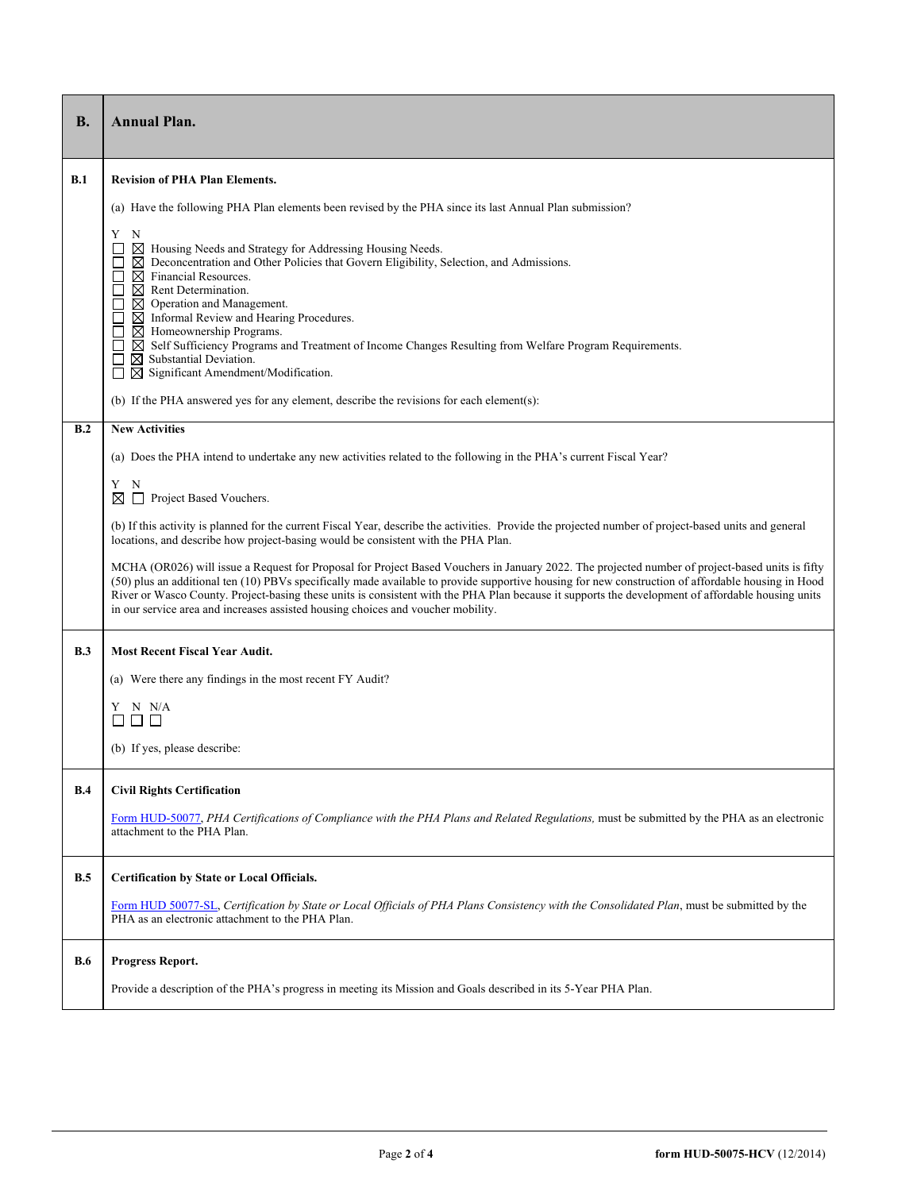| <b>B.</b>  | <b>Annual Plan.</b>                                                                                                                                                                                                                                                                                                                                                                                                                                                                                                                                                                                                              |  |  |  |  |
|------------|----------------------------------------------------------------------------------------------------------------------------------------------------------------------------------------------------------------------------------------------------------------------------------------------------------------------------------------------------------------------------------------------------------------------------------------------------------------------------------------------------------------------------------------------------------------------------------------------------------------------------------|--|--|--|--|
| B.1        | <b>Revision of PHA Plan Elements.</b>                                                                                                                                                                                                                                                                                                                                                                                                                                                                                                                                                                                            |  |  |  |  |
|            | (a) Have the following PHA Plan elements been revised by the PHA since its last Annual Plan submission?                                                                                                                                                                                                                                                                                                                                                                                                                                                                                                                          |  |  |  |  |
|            | Y<br>N<br>$\boxtimes$ Housing Needs and Strategy for Addressing Housing Needs.<br>$\Box$<br>$\boxtimes$ Deconcentration and Other Policies that Govern Eligibility, Selection, and Admissions.<br>$\boxtimes$ Financial Resources.<br>$\boxtimes$ Rent Determination.<br>$\boxtimes$ Operation and Management.<br>$\boxtimes$ Informal Review and Hearing Procedures.<br>$\boxtimes$ Homeownership Programs.<br>$\boxtimes$ Self Sufficiency Programs and Treatment of Income Changes Resulting from Welfare Program Requirements.<br>$\boxtimes$ Substantial Deviation.<br>$\boxtimes$ Significant Amendment/Modification.<br>□ |  |  |  |  |
|            | (b) If the PHA answered yes for any element, describe the revisions for each element(s):                                                                                                                                                                                                                                                                                                                                                                                                                                                                                                                                         |  |  |  |  |
| B.2        | <b>New Activities</b>                                                                                                                                                                                                                                                                                                                                                                                                                                                                                                                                                                                                            |  |  |  |  |
|            | (a) Does the PHA intend to undertake any new activities related to the following in the PHA's current Fiscal Year?                                                                                                                                                                                                                                                                                                                                                                                                                                                                                                               |  |  |  |  |
|            | N<br>Y<br>Project Based Vouchers.<br>⊠                                                                                                                                                                                                                                                                                                                                                                                                                                                                                                                                                                                           |  |  |  |  |
|            | (b) If this activity is planned for the current Fiscal Year, describe the activities. Provide the projected number of project-based units and general<br>locations, and describe how project-basing would be consistent with the PHA Plan.                                                                                                                                                                                                                                                                                                                                                                                       |  |  |  |  |
|            | MCHA (OR026) will issue a Request for Proposal for Project Based Vouchers in January 2022. The projected number of project-based units is fifty<br>(50) plus an additional ten (10) PBVs specifically made available to provide supportive housing for new construction of affordable housing in Hood<br>River or Wasco County. Project-basing these units is consistent with the PHA Plan because it supports the development of affordable housing units<br>in our service area and increases assisted housing choices and voucher mobility.                                                                                   |  |  |  |  |
| B.3        | <b>Most Recent Fiscal Year Audit.</b>                                                                                                                                                                                                                                                                                                                                                                                                                                                                                                                                                                                            |  |  |  |  |
|            | (a) Were there any findings in the most recent FY Audit?                                                                                                                                                                                                                                                                                                                                                                                                                                                                                                                                                                         |  |  |  |  |
|            | Y N N/A<br>$\Box$ $\Box$                                                                                                                                                                                                                                                                                                                                                                                                                                                                                                                                                                                                         |  |  |  |  |
|            | (b) If yes, please describe:                                                                                                                                                                                                                                                                                                                                                                                                                                                                                                                                                                                                     |  |  |  |  |
|            |                                                                                                                                                                                                                                                                                                                                                                                                                                                                                                                                                                                                                                  |  |  |  |  |
| B.4        | <b>Civil Rights Certification</b>                                                                                                                                                                                                                                                                                                                                                                                                                                                                                                                                                                                                |  |  |  |  |
|            | Form HUD-50077, PHA Certifications of Compliance with the PHA Plans and Related Regulations, must be submitted by the PHA as an electronic<br>attachment to the PHA Plan.                                                                                                                                                                                                                                                                                                                                                                                                                                                        |  |  |  |  |
| B.5        | Certification by State or Local Officials.                                                                                                                                                                                                                                                                                                                                                                                                                                                                                                                                                                                       |  |  |  |  |
|            | Form HUD 50077-SL, Certification by State or Local Officials of PHA Plans Consistency with the Consolidated Plan, must be submitted by the<br>PHA as an electronic attachment to the PHA Plan.                                                                                                                                                                                                                                                                                                                                                                                                                                   |  |  |  |  |
| <b>B.6</b> | Progress Report.                                                                                                                                                                                                                                                                                                                                                                                                                                                                                                                                                                                                                 |  |  |  |  |
|            | Provide a description of the PHA's progress in meeting its Mission and Goals described in its 5-Year PHA Plan.                                                                                                                                                                                                                                                                                                                                                                                                                                                                                                                   |  |  |  |  |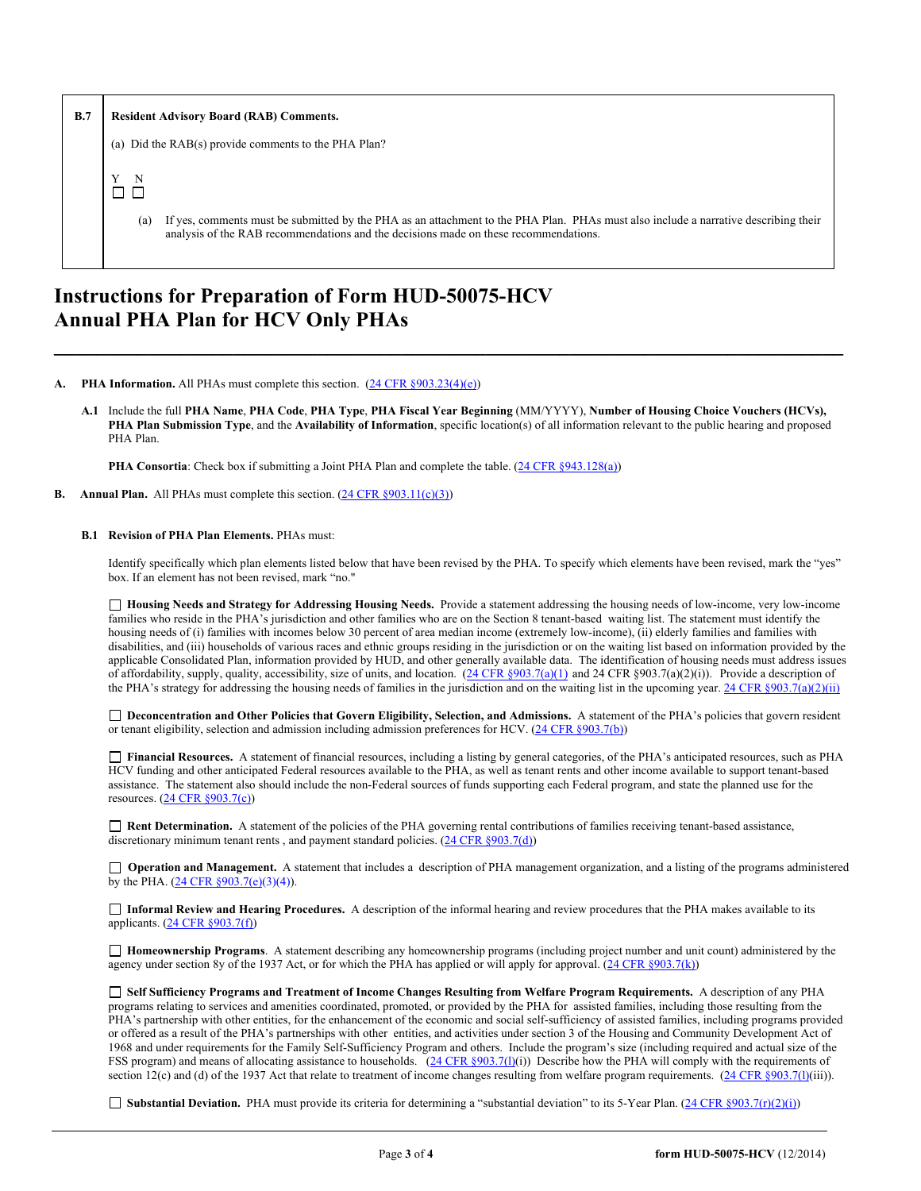| B.7 | <b>Resident Advisory Board (RAB) Comments.</b>                                                                                                                                                                                     |  |  |  |
|-----|------------------------------------------------------------------------------------------------------------------------------------------------------------------------------------------------------------------------------------|--|--|--|
|     | (a) Did the RAB(s) provide comments to the PHA Plan?                                                                                                                                                                               |  |  |  |
|     | $\mathbf N$                                                                                                                                                                                                                        |  |  |  |
|     | If yes, comments must be submitted by the PHA as an attachment to the PHA Plan. PHAs must also include a narrative describing their<br>(a)<br>analysis of the RAB recommendations and the decisions made on these recommendations. |  |  |  |

## **Instructions for Preparation of Form HUD-50075-HCV Annual PHA Plan for HCV Only PHAs**

#### **PHA Information.** All PHAs must complete this section.  $(24 \text{ CFR } \text{S}903.23(4)(e))$

**A.1** Include the full **PHA Name**, **PHA Code**, **PHA Type**, **PHA Fiscal Year Beginning** (MM/YYYY), **Number of Housing Choice Vouchers (HCVs), PHA Plan Submission Type**, and the **Availability of Information**, specific location(s) of all information relevant to the public hearing and proposed PHA Plan.

**\_\_\_\_\_\_\_\_\_\_\_\_\_\_\_\_\_\_\_\_\_\_\_\_\_\_\_\_\_\_\_\_\_\_\_\_\_\_\_\_\_\_\_\_\_\_\_\_\_\_\_\_\_\_\_\_\_\_\_\_\_\_\_\_\_\_\_\_\_\_\_\_\_\_\_**

**PHA Consortia**: Check box if submitting a Joint PHA Plan and complete the table. [\(24 CFR §943.128\(a\)\)](http://ecfr.gpoaccess.gov/cgi/t/text/text-idx?c=ecfr&sid=cc31cf1c3a2b84ba4ead75d35d258f67&rgn=div5&view=text&node=24:4.0.3.1.10&idno=24#24:4.0.3.1.10.2.5.7)

**B.** Annual Plan. All PHAs must complete this section. [\(24 CFR §903.11\(c\)\(3\)\)](http://ecfr.gpoaccess.gov/cgi/t/text/text-idx?c=ecfr&sid=c84b8750d7c9fcd46c0c7546aeb860cf&rgn=div5&view=text&node=24:4.0.3.1.3&idno=24#24:4.0.3.1.3.2.5.8)

#### **B.1 Revision of PHA Plan Elements.** PHAs must:

Identify specifically which plan elements listed below that have been revised by the PHA. To specify which elements have been revised, mark the "yes" box. If an element has not been revised, mark "no."

 **Housing Needs and Strategy for Addressing Housing Needs.** Provide a statement addressing the housing needs of low-income, very low-income families who reside in the PHA's jurisdiction and other families who are on the Section 8 tenant-based waiting list. The statement must identify the housing needs of (i) families with incomes below 30 percent of area median income (extremely low-income), (ii) elderly families and families with disabilities, and (iii) households of various races and ethnic groups residing in the jurisdiction or on the waiting list based on information provided by the applicable Consolidated Plan, information provided by HUD, and other generally available data. The identification of housing needs must address issues of affordability, supply, quality, accessibility, size of units, and location.  $(24 \text{ CFR } \text{S}903.7(a)(1))$  and 24 CFR  $\text{S}903.7(a)(2)(i)$ ). Provide a description of the PHA's strategy for addressing the housing needs of families in the jurisdiction and on the waiting list in the upcoming year.  $24$  CFR §903.7(a)(2)(ii)

□ Deconcentration and Other Policies that Govern Eligibility, Selection, and Admissions. A statement of the PHA's policies that govern resident or tenant eligibility, selection and admission including admission preferences for HCV. [\(24 CFR §903.7\(b\)\)](http://ecfr.gpoaccess.gov/cgi/t/text/text-idx?c=ecfr&sid=b44bf19bef93dd31287608d2c687e271&rgn=div5&view=text&node=24:4.0.3.1.3&idno=24#24:4.0.3.1.3.2.5.5)

 **Financial Resources.** A statement of financial resources, including a listing by general categories, of the PHA's anticipated resources, such as PHA HCV funding and other anticipated Federal resources available to the PHA, as well as tenant rents and other income available to support tenant-based assistance. The statement also should include the non-Federal sources of funds supporting each Federal program, and state the planned use for the resources. [\(24 CFR §903.7\(c\)\)](http://ecfr.gpoaccess.gov/cgi/t/text/text-idx?c=ecfr&sid=b44bf19bef93dd31287608d2c687e271&rgn=div5&view=text&node=24:4.0.3.1.3&idno=24)

 **Rent Determination.** A statement of the policies of the PHA governing rental contributions of families receiving tenant-based assistance, discretionary minimum tenant rents, and payment standard policies. [\(24 CFR §903.7\(d\)\)](http://ecfr.gpoaccess.gov/cgi/t/text/text-idx?c=ecfr&sid=b44bf19bef93dd31287608d2c687e271&rgn=div5&view=text&node=24:4.0.3.1.3&idno=24#24:4.0.3.1.3.2.5.5)

**Operation and Management.** A statement that includes a description of PHA management organization, and a listing of the programs administered by the PHA.  $(24 \text{ CFR } \frac{6}{903.7\text{(e)}(3)(4)}$ .

 **Informal Review and Hearing Procedures.** A description of the informal hearing and review procedures that the PHA makes available to its applicants. [\(24 CFR §903.7\(f\)\)](http://ecfr.gpoaccess.gov/cgi/t/text/text-idx?c=ecfr&sid=b44bf19bef93dd31287608d2c687e271&rgn=div5&view=text&node=24:4.0.3.1.3&idno=24#24:4.0.3.1.3.2.5.5)

 **Homeownership Programs**. A statement describing any homeownership programs (including project number and unit count) administered by the agency under section 8y of the 1937 Act, or for which the PHA has applied or will apply for approval. [\(24 CFR §903.7\(k\)\)](http://ecfr.gpoaccess.gov/cgi/t/text/text-idx?c=ecfr&sid=b44bf19bef93dd31287608d2c687e271&rgn=div5&view=text&node=24:4.0.3.1.3&idno=24#24:4.0.3.1.3.2.5.5)

 **Self Sufficiency Programs and Treatment of Income Changes Resulting from Welfare Program Requirements.** A description of any PHA programs relating to services and amenities coordinated, promoted, or provided by the PHA for assisted families, including those resulting from the PHA's partnership with other entities, for the enhancement of the economic and social self-sufficiency of assisted families, including programs provided or offered as a result of the PHA's partnerships with other entities, and activities under section 3 of the Housing and Community Development Act of 1968 and under requirements for the Family Self-Sufficiency Program and others. Include the program's size (including required and actual size of the FSS program) and means of allocating assistance to households. [\(24 CFR §903.7\(l\)\(](http://ecfr.gpoaccess.gov/cgi/t/text/text-idx?c=ecfr&sid=b44bf19bef93dd31287608d2c687e271&rgn=div5&view=text&node=24:4.0.3.1.3&idno=24#24:4.0.3.1.3.2.5.5)i)) Describe how the PHA will comply with the requirements of section 12(c) and (d) of the 1937 Act that relate to treatment of income changes resulting from welfare program requirements.  $(24 \text{ CFR } \text{S}903.7(l))$ (iii)).

■ **Substantial Deviation.** PHA must provide its criteria for determining a "substantial deviation" to its 5-Year Plan. [\(24 CFR §903.7\(r\)\(2\)\(i\)\)](http://ecfr.gpoaccess.gov/cgi/t/text/text-idx?c=ecfr&sid=13734845220744370804c20da2294a03&rgn=div5&view=text&node=24:4.0.3.1.3&idno=24#24:4.0.3.1.3.2.5.5)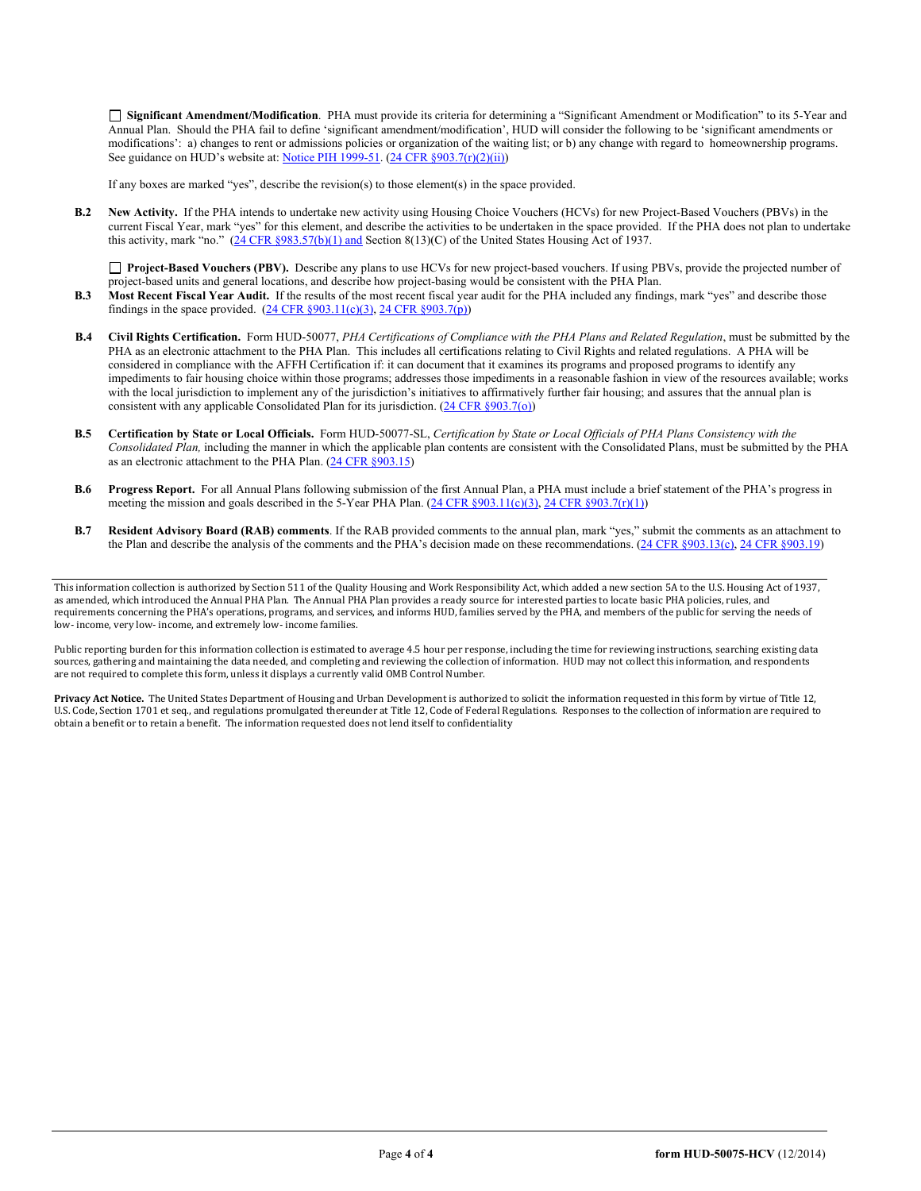**Significant Amendment/Modification**. PHA must provide its criteria for determining a "Significant Amendment or Modification" to its 5-Year and Annual Plan. Should the PHA fail to define 'significant amendment/modification', HUD will consider the following to be 'significant amendments or modifications': a) changes to rent or admissions policies or organization of the waiting list; or b) any change with regard to homeownership programs. See guidance on HUD's website at: [Notice PIH 1999-51.](http://portal.hud.gov/hudportal/HUD?src=/program_offices/administration/hudclips/notices/pih) [\(24 CFR §903.7\(r\)\(2\)\(ii\)\)](http://ecfr.gpoaccess.gov/cgi/t/text/text-idx?c=ecfr&sid=13734845220744370804c20da2294a03&rgn=div5&view=text&node=24:4.0.3.1.3&idno=24#24:4.0.3.1.3.2.5.5)

If any boxes are marked "yes", describe the revision(s) to those element(s) in the space provided.

**B.2 New Activity.** If the PHA intends to undertake new activity using Housing Choice Vouchers (HCVs) for new Project-Based Vouchers (PBVs) in the current Fiscal Year, mark "yes" for this element, and describe the activities to be undertaken in the space provided. If the PHA does not plan to undertake this activity, mark "no." [\(24 CFR §983.57\(b\)\(1\)](http://ecfr.gpoaccess.gov/cgi/t/text/text-idx?c=ecfr&sid=c84b8750d7c9fcd46c0c7546aeb860cf&rgn=div5&view=text&node=24:4.0.3.1.3&idno=24#24:4.0.3.1.3.2.5.7) and Section 8(13)(C) of the United States Housing Act of 1937.

□ **Project-Based Vouchers (PBV).** Describe any plans to use HCVs for new project-based vouchers. If using PBVs, provide the projected number of project-based units and general locations, and describe how project-basing would be consistent with the PHA Plan.

- **B.3 Most Recent Fiscal Year Audit.** If the results of the most recent fiscal year audit for the PHA included any findings, mark "yes" and describe those findings in the space provided.  $(24 \text{ CFR } \S 903.11(c)(3), 24 \text{ CFR } \S 903.7(p))$
- **B.4 Civil Rights Certification.** Form HUD-50077, *PHA Certifications of Compliance with the PHA Plans and Related Regulation*, must be submitted by the PHA as an electronic attachment to the PHA Plan. This includes all certifications relating to Civil Rights and related regulations. A PHA will be considered in compliance with the AFFH Certification if: it can document that it examines its programs and proposed programs to identify any impediments to fair housing choice within those programs; addresses those impediments in a reasonable fashion in view of the resources available; works with the local jurisdiction to implement any of the jurisdiction's initiatives to affirmatively further fair housing; and assures that the annual plan is consistent with any applicable Consolidated Plan for its jurisdiction.  $(24 \text{ CFR } \S 903.7(0))$
- **B.5 Certification by State or Local Officials.** Form HUD-50077-SL, *Certification by State or Local Officials of PHA Plans Consistency with the Consolidated Plan,* including the manner in which the applicable plan contents are consistent with the Consolidated Plans, must be submitted by the PHA as an electronic attachment to the PHA Plan. [\(24 CFR §903.15\)](http://ecfr.gpoaccess.gov/cgi/t/text/text-idx?c=ecfr&sid=929855241bbc0873ac4be47579a4d2bf&rgn=div5&view=text&node=24:4.0.3.1.3&idno=24#24:4.0.3.1.3.2.5.10)
- **B.6 Progress Report.** For all Annual Plans following submission of the first Annual Plan, a PHA must include a brief statement of the PHA's progress in meeting the mission and goals described in the 5-Year PHA Plan. ( $24 \text{ CFR}$  §903.11(c)(3), [24 CFR §903.7\(r\)\(1\)\)](http://ecfr.gpoaccess.gov/cgi/t/text/text-idx?c=ecfr&sid=663ef5e048922c731853f513acbdfa81&rgn=div5&view=text&node=24:4.0.3.1.3&idno=24#24:4.0.3.1.3.2.5.5)
- **B.7 Resident Advisory Board (RAB) comments**. If the RAB provided comments to the annual plan, mark "yes," submit the comments as an attachment to the Plan and describe the analysis of the comments and the PHA's decision made on these recommendations. [\(24 CFR §903.13\(c\),](http://ecfr.gpoaccess.gov/cgi/t/text/text-idx?c=ecfr&sid=13734845220744370804c20da2294a03&rgn=div5&view=text&node=24:4.0.3.1.3&idno=24#24:4.0.3.1.3.2.5.9) [24 CFR §903.19\)](http://ecfr.gpoaccess.gov/cgi/t/text/text-idx?c=ecfr&sid=f41eb312b1425d2a95a2478fde61e11f&rgn=div5&view=text&node=24:4.0.3.1.3&idno=24#24:4.0.3.1.3.2.5.12)

Public reporting burden for this information collection is estimated to average 4.5 hour per response, including the time for reviewing instructions, searching existing data sources, gathering and maintaining the data needed, and completing and reviewing the collection of information. HUD may not collect this information, and respondents are not required to complete this form, unless it displays a currently valid OMB Control Number.

**Privacy Act Notice.** The United States Department of Housing and Urban Development is authorized to solicit the information requested in this form by virtue of Title 12, U.S. Code, Section 1701 et seq., and regulations promulgated thereunder at Title 12, Code of Federal Regulations. Responses to the collection of information are required to obtain a benefit or to retain a benefit. The information requested does not lend itself to confidentiality

This information collection is authorized by Section 511 of the Quality Housing and Work Responsibility Act, which added a new section 5A to the U.S. Housing Act of 1937, as amended, which introduced the Annual PHA Plan. The Annual PHA Plan provides a ready source for interested parties to locate basic PHA policies, rules, and requirements concerning the PHA's operations, programs, and services, and informs HUD, families served by the PHA, and members of the public for serving the needs of low- income, very low- income, and extremely low- income families.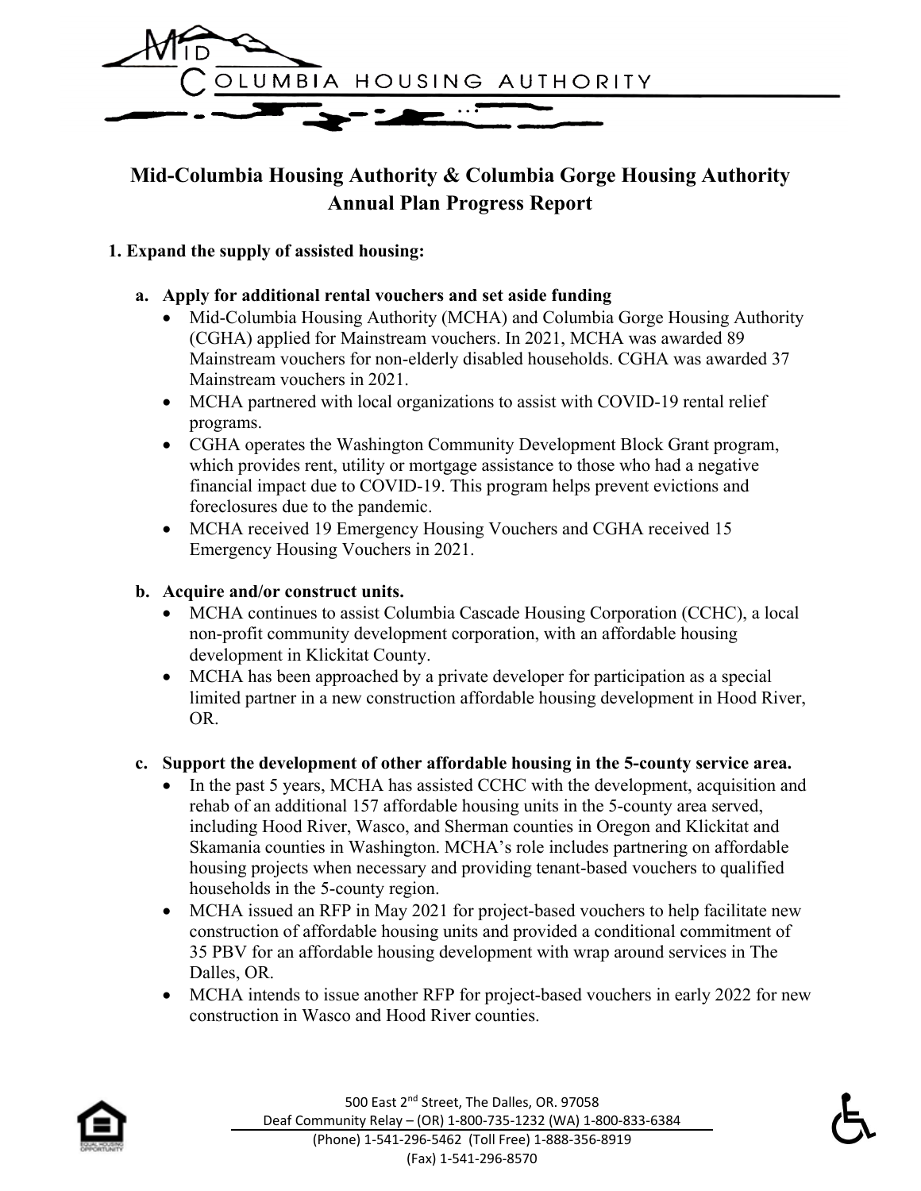

# **Mid-Columbia Housing Authority & Columbia Gorge Housing Authority Annual Plan Progress Report**

### **1. Expand the supply of assisted housing:**

#### **a. Apply for additional rental vouchers and set aside funding**

- Mid-Columbia Housing Authority (MCHA) and Columbia Gorge Housing Authority (CGHA) applied for Mainstream vouchers. In 2021, MCHA was awarded 89 Mainstream vouchers for non-elderly disabled households. CGHA was awarded 37 Mainstream vouchers in 2021.
- MCHA partnered with local organizations to assist with COVID-19 rental relief programs.
- CGHA operates the Washington Community Development Block Grant program, which provides rent, utility or mortgage assistance to those who had a negative financial impact due to COVID-19. This program helps prevent evictions and foreclosures due to the pandemic.
- MCHA received 19 Emergency Housing Vouchers and CGHA received 15 Emergency Housing Vouchers in 2021.

#### **b. Acquire and/or construct units.**

- MCHA continues to assist Columbia Cascade Housing Corporation (CCHC), a local non-profit community development corporation, with an affordable housing development in Klickitat County.
- MCHA has been approached by a private developer for participation as a special limited partner in a new construction affordable housing development in Hood River, OR.

#### **c. Support the development of other affordable housing in the 5-county service area.**

- In the past 5 years, MCHA has assisted CCHC with the development, acquisition and rehab of an additional 157 affordable housing units in the 5-county area served, including Hood River, Wasco, and Sherman counties in Oregon and Klickitat and Skamania counties in Washington. MCHA's role includes partnering on affordable housing projects when necessary and providing tenant-based vouchers to qualified households in the 5-county region.
- MCHA issued an RFP in May 2021 for project-based vouchers to help facilitate new construction of affordable housing units and provided a conditional commitment of 35 PBV for an affordable housing development with wrap around services in The Dalles, OR.
- MCHA intends to issue another RFP for project-based vouchers in early 2022 for new construction in Wasco and Hood River counties.



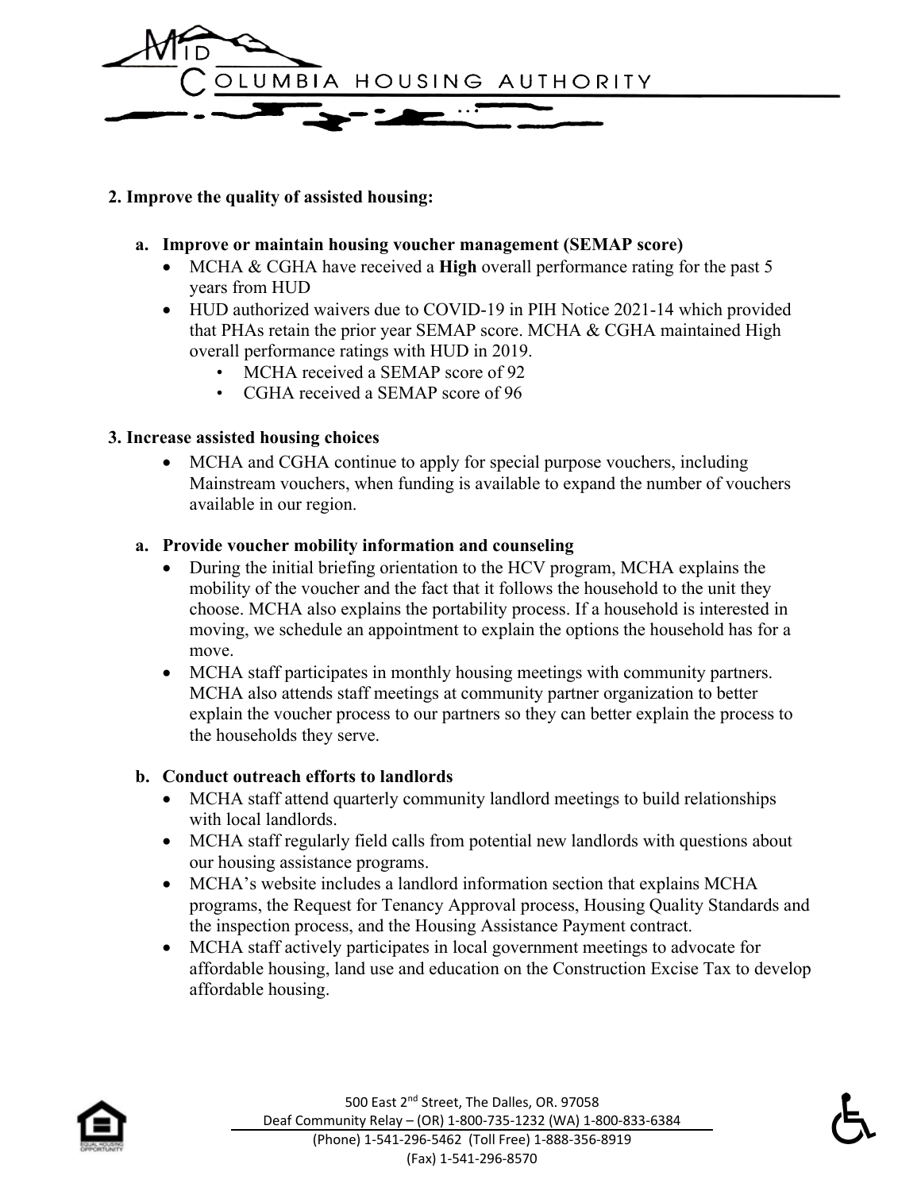

#### **2. Improve the quality of assisted housing:**

#### **a. Improve or maintain housing voucher management (SEMAP score)**

- MCHA & CGHA have received a **High** overall performance rating for the past 5 years from HUD
- HUD authorized waivers due to COVID-19 in PIH Notice 2021-14 which provided that PHAs retain the prior year SEMAP score. MCHA & CGHA maintained High overall performance ratings with HUD in 2019.
	- MCHA received a SEMAP score of 92
	- CGHA received a SEMAP score of 96

#### **3. Increase assisted housing choices**

• MCHA and CGHA continue to apply for special purpose vouchers, including Mainstream vouchers, when funding is available to expand the number of vouchers available in our region.

#### **a. Provide voucher mobility information and counseling**

- During the initial briefing orientation to the HCV program, MCHA explains the mobility of the voucher and the fact that it follows the household to the unit they choose. MCHA also explains the portability process. If a household is interested in moving, we schedule an appointment to explain the options the household has for a move.
- MCHA staff participates in monthly housing meetings with community partners. MCHA also attends staff meetings at community partner organization to better explain the voucher process to our partners so they can better explain the process to the households they serve.

### **b. Conduct outreach efforts to landlords**

- MCHA staff attend quarterly community landlord meetings to build relationships with local landlords.
- MCHA staff regularly field calls from potential new landlords with questions about our housing assistance programs.
- MCHA's website includes a landlord information section that explains MCHA programs, the Request for Tenancy Approval process, Housing Quality Standards and the inspection process, and the Housing Assistance Payment contract.
- MCHA staff actively participates in local government meetings to advocate for affordable housing, land use and education on the Construction Excise Tax to develop affordable housing.

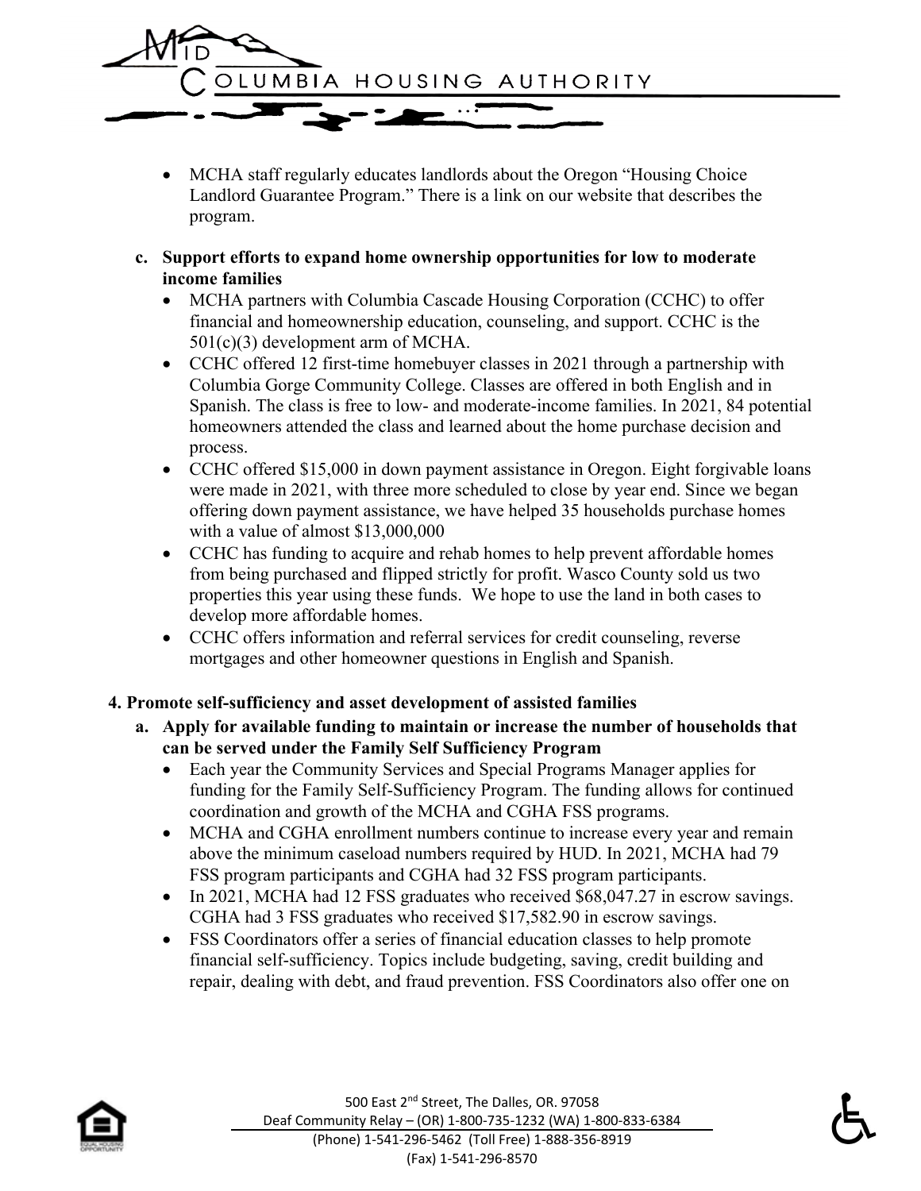

- MCHA staff regularly educates landlords about the Oregon "Housing Choice Landlord Guarantee Program." There is a link on our website that describes the program.
- **c. Support efforts to expand home ownership opportunities for low to moderate income families**
	- MCHA partners with Columbia Cascade Housing Corporation (CCHC) to offer financial and homeownership education, counseling, and support. CCHC is the 501(c)(3) development arm of MCHA.
	- CCHC offered 12 first-time homebuyer classes in 2021 through a partnership with Columbia Gorge Community College. Classes are offered in both English and in Spanish. The class is free to low- and moderate-income families. In 2021, 84 potential homeowners attended the class and learned about the home purchase decision and process.
	- CCHC offered \$15,000 in down payment assistance in Oregon. Eight forgivable loans were made in 2021, with three more scheduled to close by year end. Since we began offering down payment assistance, we have helped 35 households purchase homes with a value of almost \$13,000,000
	- CCHC has funding to acquire and rehab homes to help prevent affordable homes from being purchased and flipped strictly for profit. Wasco County sold us two properties this year using these funds. We hope to use the land in both cases to develop more affordable homes.
	- CCHC offers information and referral services for credit counseling, reverse mortgages and other homeowner questions in English and Spanish.

### **4. Promote self-sufficiency and asset development of assisted families**

- **a. Apply for available funding to maintain or increase the number of households that can be served under the Family Self Sufficiency Program**
	- Each year the Community Services and Special Programs Manager applies for funding for the Family Self-Sufficiency Program. The funding allows for continued coordination and growth of the MCHA and CGHA FSS programs.
	- MCHA and CGHA enrollment numbers continue to increase every year and remain above the minimum caseload numbers required by HUD. In 2021, MCHA had 79 FSS program participants and CGHA had 32 FSS program participants.
	- In 2021, MCHA had 12 FSS graduates who received \$68,047.27 in escrow savings. CGHA had 3 FSS graduates who received \$17,582.90 in escrow savings.
	- FSS Coordinators offer a series of financial education classes to help promote financial self-sufficiency. Topics include budgeting, saving, credit building and repair, dealing with debt, and fraud prevention. FSS Coordinators also offer one on

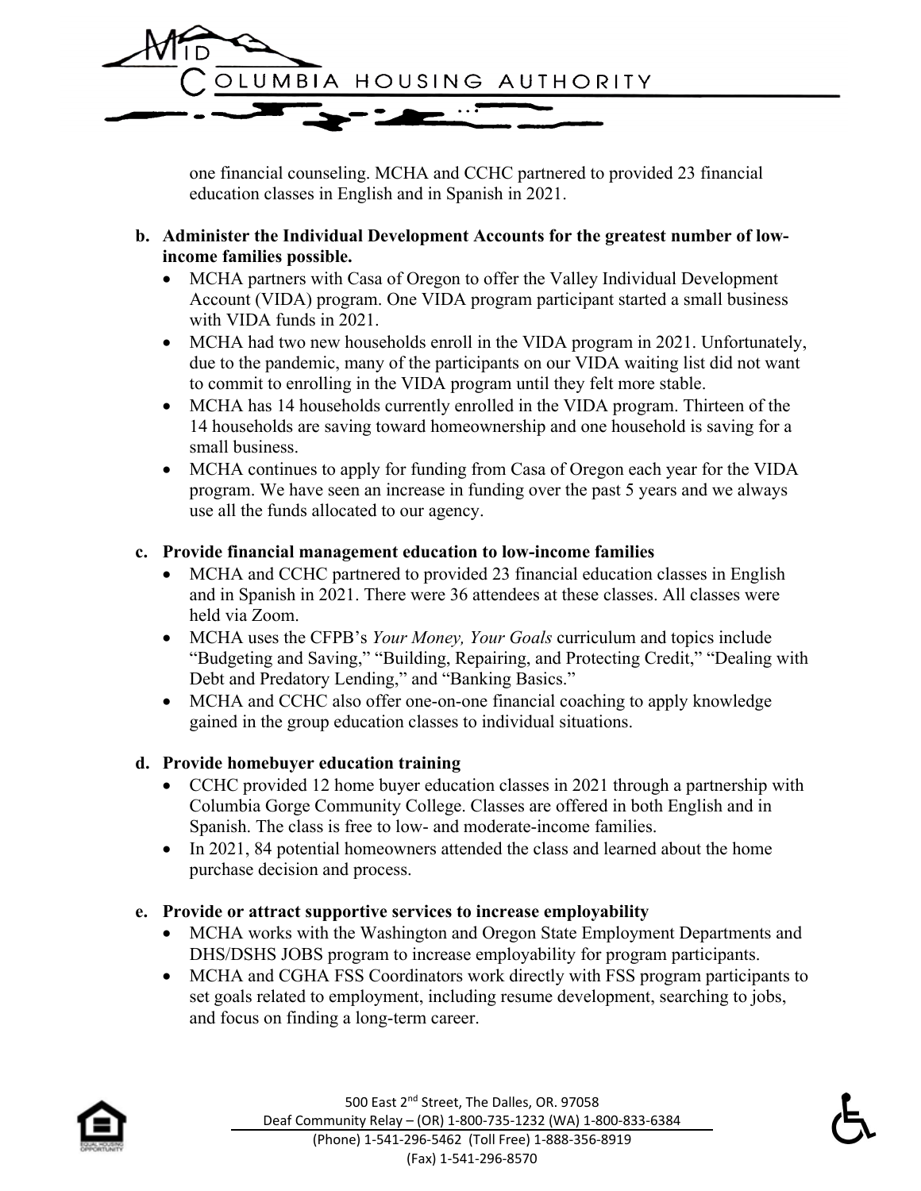

one financial counseling. MCHA and CCHC partnered to provided 23 financial education classes in English and in Spanish in 2021.

- **b. Administer the Individual Development Accounts for the greatest number of lowincome families possible.**
	- MCHA partners with Casa of Oregon to offer the Valley Individual Development Account (VIDA) program. One VIDA program participant started a small business with VIDA funds in 2021.
	- MCHA had two new households enroll in the VIDA program in 2021. Unfortunately, due to the pandemic, many of the participants on our VIDA waiting list did not want to commit to enrolling in the VIDA program until they felt more stable.
	- MCHA has 14 households currently enrolled in the VIDA program. Thirteen of the 14 households are saving toward homeownership and one household is saving for a small business.
	- MCHA continues to apply for funding from Casa of Oregon each year for the VIDA program. We have seen an increase in funding over the past 5 years and we always use all the funds allocated to our agency.

### **c. Provide financial management education to low-income families**

- MCHA and CCHC partnered to provided 23 financial education classes in English and in Spanish in 2021. There were 36 attendees at these classes. All classes were held via Zoom.
- MCHA uses the CFPB's *Your Money, Your Goals* curriculum and topics include "Budgeting and Saving," "Building, Repairing, and Protecting Credit," "Dealing with Debt and Predatory Lending," and "Banking Basics."
- MCHA and CCHC also offer one-on-one financial coaching to apply knowledge gained in the group education classes to individual situations.

#### **d. Provide homebuyer education training**

- CCHC provided 12 home buyer education classes in 2021 through a partnership with Columbia Gorge Community College. Classes are offered in both English and in Spanish. The class is free to low- and moderate-income families.
- In 2021, 84 potential homeowners attended the class and learned about the home purchase decision and process.

### **e. Provide or attract supportive services to increase employability**

- MCHA works with the Washington and Oregon State Employment Departments and DHS/DSHS JOBS program to increase employability for program participants.
- MCHA and CGHA FSS Coordinators work directly with FSS program participants to set goals related to employment, including resume development, searching to jobs, and focus on finding a long-term career.

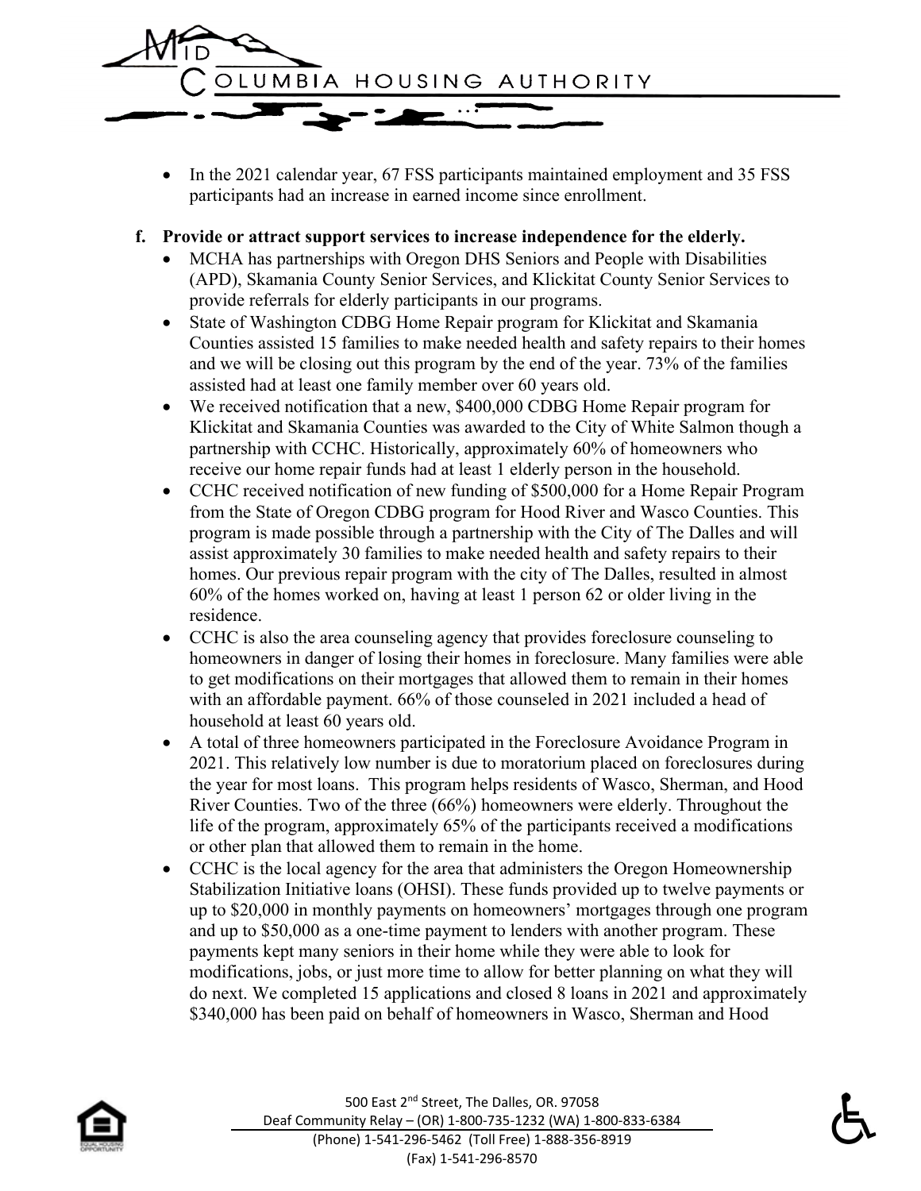

• In the 2021 calendar year, 67 FSS participants maintained employment and 35 FSS participants had an increase in earned income since enrollment.

#### **f. Provide or attract support services to increase independence for the elderly.**

- MCHA has partnerships with Oregon DHS Seniors and People with Disabilities (APD), Skamania County Senior Services, and Klickitat County Senior Services to provide referrals for elderly participants in our programs.
- State of Washington CDBG Home Repair program for Klickitat and Skamania Counties assisted 15 families to make needed health and safety repairs to their homes and we will be closing out this program by the end of the year. 73% of the families assisted had at least one family member over 60 years old.
- We received notification that a new, \$400,000 CDBG Home Repair program for Klickitat and Skamania Counties was awarded to the City of White Salmon though a partnership with CCHC. Historically, approximately 60% of homeowners who receive our home repair funds had at least 1 elderly person in the household.
- CCHC received notification of new funding of \$500,000 for a Home Repair Program from the State of Oregon CDBG program for Hood River and Wasco Counties. This program is made possible through a partnership with the City of The Dalles and will assist approximately 30 families to make needed health and safety repairs to their homes. Our previous repair program with the city of The Dalles, resulted in almost 60% of the homes worked on, having at least 1 person 62 or older living in the residence.
- CCHC is also the area counseling agency that provides foreclosure counseling to homeowners in danger of losing their homes in foreclosure. Many families were able to get modifications on their mortgages that allowed them to remain in their homes with an affordable payment. 66% of those counseled in 2021 included a head of household at least 60 years old.
- A total of three homeowners participated in the Foreclosure Avoidance Program in 2021. This relatively low number is due to moratorium placed on foreclosures during the year for most loans. This program helps residents of Wasco, Sherman, and Hood River Counties. Two of the three (66%) homeowners were elderly. Throughout the life of the program, approximately 65% of the participants received a modifications or other plan that allowed them to remain in the home.
- CCHC is the local agency for the area that administers the Oregon Homeownership Stabilization Initiative loans (OHSI). These funds provided up to twelve payments or up to \$20,000 in monthly payments on homeowners' mortgages through one program and up to \$50,000 as a one-time payment to lenders with another program. These payments kept many seniors in their home while they were able to look for modifications, jobs, or just more time to allow for better planning on what they will do next. We completed 15 applications and closed 8 loans in 2021 and approximately \$340,000 has been paid on behalf of homeowners in Wasco, Sherman and Hood